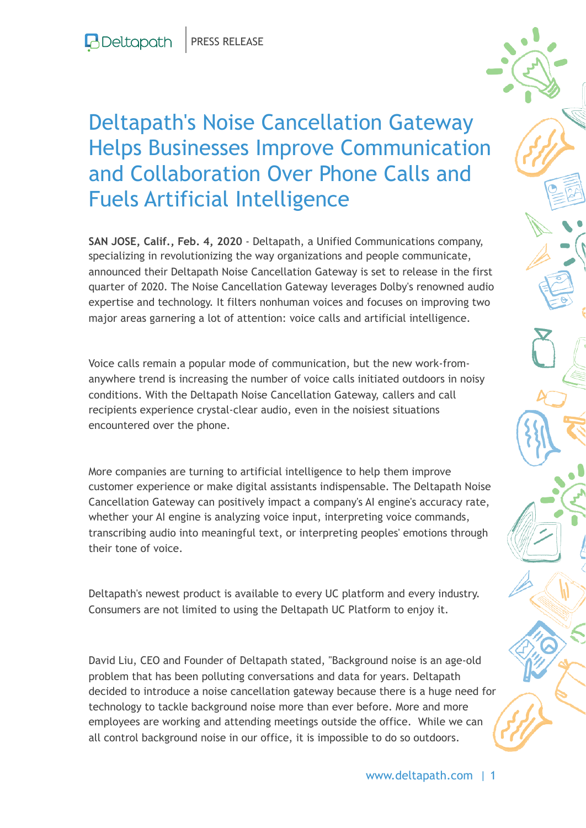## Deltapath's Noise Cancellation Gateway Helps Businesses Improve Communication and Collaboration Over Phone Calls and Fuels Artificial Intelligence

**SAN JOSE, Calif., Feb. 4, 2020** - Deltapath, a Unified Communications company, specializing in revolutionizing the way organizations and people communicate, announced their Deltapath Noise Cancellation Gateway is set to release in the first quarter of 2020. The Noise Cancellation Gateway leverages Dolby's renowned audio expertise and technology. It filters nonhuman voices and focuses on improving two major areas garnering a lot of attention: voice calls and artificial intelligence.

Voice calls remain a popular mode of communication, but the new work-fromanywhere trend is increasing the number of voice calls initiated outdoors in noisy conditions. With the Deltapath Noise Cancellation Gateway, callers and call recipients experience crystal-clear audio, even in the noisiest situations encountered over the phone.

More companies are turning to artificial intelligence to help them improve customer experience or make digital assistants indispensable. The Deltapath Noise Cancellation Gateway can positively impact a company's AI engine's accuracy rate, whether your AI engine is analyzing voice input, interpreting voice commands, transcribing audio into meaningful text, or interpreting peoples' emotions through their tone of voice.

Deltapath's newest product is available to every UC platform and every industry. Consumers are not limited to using the Deltapath UC Platform to enjoy it.

David Liu, CEO and Founder of Deltapath stated, "Background noise is an age-old problem that has been polluting conversations and data for years. Deltapath decided to introduce a noise cancellation gateway because there is a huge need for technology to tackle background noise more than ever before. More and more employees are working and attending meetings outside the office. While we can all control background noise in our office, it is impossible to do so outdoors.